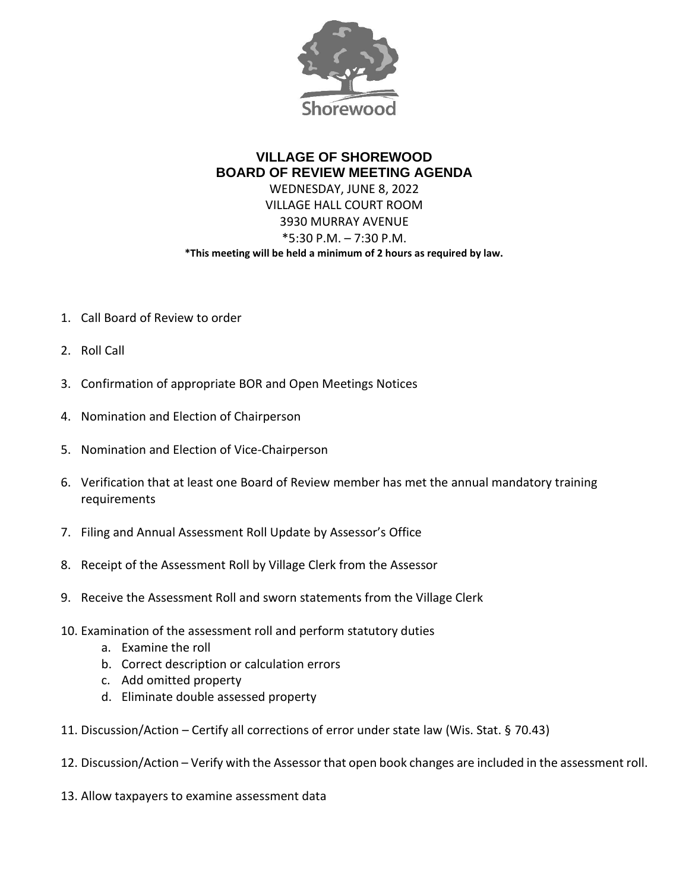

## **VILLAGE OF SHOREWOOD BOARD OF REVIEW MEETING AGENDA** WEDNESDAY, JUNE 8, 2022 VILLAGE HALL COURT ROOM 3930 MURRAY AVENUE \*5:30 P.M. – 7:30 P.M. **\*This meeting will be held a minimum of 2 hours as required by law.**

- 1. Call Board of Review to order
- 2. Roll Call
- 3. Confirmation of appropriate BOR and Open Meetings Notices
- 4. Nomination and Election of Chairperson
- 5. Nomination and Election of Vice-Chairperson
- 6. Verification that at least one Board of Review member has met the annual mandatory training requirements
- 7. Filing and Annual Assessment Roll Update by Assessor's Office
- 8. Receipt of the Assessment Roll by Village Clerk from the Assessor
- 9. Receive the Assessment Roll and sworn statements from the Village Clerk
- 10. Examination of the assessment roll and perform statutory duties
	- a. Examine the roll
	- b. Correct description or calculation errors
	- c. Add omitted property
	- d. Eliminate double assessed property
- 11. Discussion/Action Certify all corrections of error under state law (Wis. Stat. § 70.43)
- 12. Discussion/Action Verify with the Assessor that open book changes are included in the assessment roll.
- 13. Allow taxpayers to examine assessment data